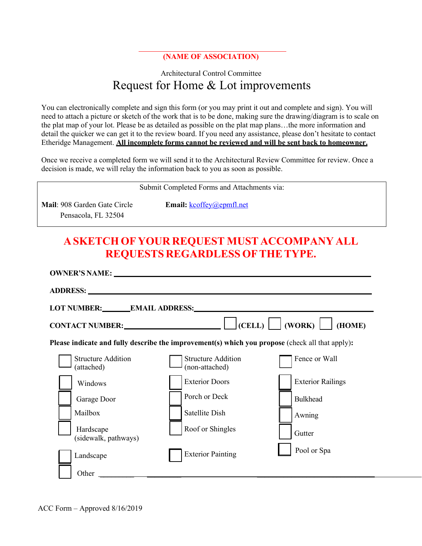## **(NAME OF ASSOCIATION)**

## Architectural Control Committee Request for Home & Lot improvements

You can electronically complete and sign this form (or you may print it out and complete and sign). You will need to attach a picture or sketch of the work that is to be done, making sure the drawing/diagram is to scale on the plat map of your lot. Please be as detailed as possible on the plat map plans…the more information and detail the quicker we can get it to the review board. If you need any assistance, please don't hesitate to contact Etheridge Management. **All incomplete forms cannot be reviewed and will be sent back to homeowner.**

Once we receive a completed form we will send it to the Architectural Review Committee for review. Once a decision is made, we will relay the information back to you as soon as possible.

| Submit Completed Forms and Attachments via:         |                                                                                                                                                                                                                                                 |                          |  |  |  |
|-----------------------------------------------------|-------------------------------------------------------------------------------------------------------------------------------------------------------------------------------------------------------------------------------------------------|--------------------------|--|--|--|
| Mail: 908 Garden Gate Circle<br>Pensacola, FL 32504 | Email: $kcoffey@epmfl.net$                                                                                                                                                                                                                      |                          |  |  |  |
|                                                     | A SKETCH OF YOUR REQUEST MUST ACCOMPANY ALL<br>REQUESTS REGARDLESS OF THE TYPE.                                                                                                                                                                 |                          |  |  |  |
|                                                     | <b>OWNER'S NAME:</b> No. 2006 2007 2008 2014 2022 2023 2024 2022 2023 2024 2022 2023 2024 2022 2023 2024 2022 2023 2024 2022 2023 2024 2022 2023 2024 2022 2023 2024 2022 2023 2024 2022 2023 2024 2022 2023 2024 2023 2024 2023 20             |                          |  |  |  |
|                                                     | LOT NUMBER: EMAIL ADDRESS: EMAIL AND AND AND ANNUAL EXAMPLE AND ANNUAL ADDRESS:<br>CONTACT NUMBER: $\Box$ $\Box$ (CELL) $\Box$ (WORK) $\Box$<br>Please indicate and fully describe the improvement(s) which you propose (check all that apply): | (HOME)                   |  |  |  |
| <b>Structure Addition</b><br>(attached)             | <b>Structure Addition</b><br>(non-attached)                                                                                                                                                                                                     | Fence or Wall            |  |  |  |
| Windows                                             | <b>Exterior Doors</b>                                                                                                                                                                                                                           | <b>Exterior Railings</b> |  |  |  |
| Garage Door                                         | Porch or Deck                                                                                                                                                                                                                                   | <b>Bulkhead</b>          |  |  |  |
| Mailbox                                             | <b>Satellite Dish</b>                                                                                                                                                                                                                           | Awning                   |  |  |  |
| Hardscape<br>(sidewalk, pathways)                   | Roof or Shingles                                                                                                                                                                                                                                | Gutter                   |  |  |  |
| Landscape                                           | <b>Exterior Painting</b>                                                                                                                                                                                                                        | Pool or Spa              |  |  |  |
| Other                                               |                                                                                                                                                                                                                                                 |                          |  |  |  |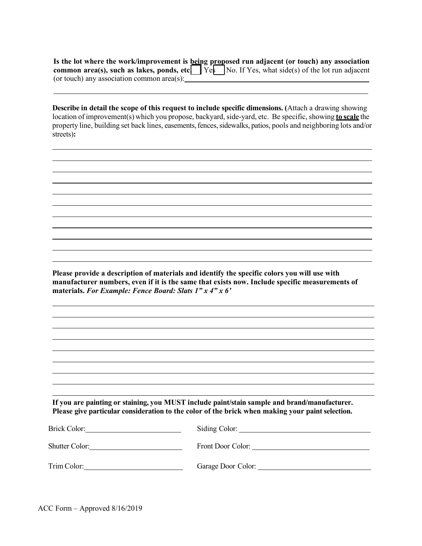**Is the lot where the work/improvement is being proposed run adjacent (or touch) any association common area(s), such as lakes, ponds, etc.** Yes No. If Yes, what side(s) of the lot run adjacent (or touch) any association common area(s):  $\overline{\qquad}$ 

**Describe in detail the scope of this request to include specific dimensions. (**Attach a drawing showing location of improvement(s) which you propose, backyard, side-yard, etc. Be specific, showing **to scale** the property line, building set back lines, easements, fences, sidewalks, patios, pools and neighboring lots and/or streets)**:** 

**Please provide a description of materials and identify the specific colors you will use with manufacturer numbers, even if it is the same that exists now. Include specific measurements of materials.** *For Example: Fence Board: Slats 1" x 4" x 6'* 

**If you are painting or staining, you MUST include paint/stain sample and brand/manufacturer. Please give particular consideration to the color of the brick when making your paint selection.**

| Brick Color:          |                    |
|-----------------------|--------------------|
| <b>Shutter Color:</b> | Front Door Color:  |
| Trim Color:           | Garage Door Color: |

ACC Form – Approved 8/16/2019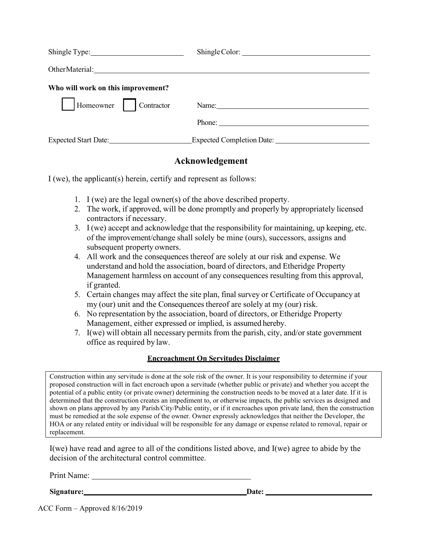| Shingle Type:                      |                           |
|------------------------------------|---------------------------|
| Other Material:                    |                           |
| Who will work on this improvement? |                           |
| Homeowner<br>Contractor            | Name: Name:               |
|                                    | Phone:                    |
| <b>Expected Start Date:</b>        | Expected Completion Date: |

## **Acknowledgement**

I (we), the applicant(s) herein, certify and represent as follows:

- 1. I (we) are the legal owner(s) of the above described property.
- 2. The work, if approved, will be done promptly and properly by appropriately licensed contractors if necessary.
- 3. I (we) accept and acknowledge that the responsibility for maintaining, up keeping, etc. of the improvement/change shall solely be mine (ours), successors, assigns and subsequent property owners.
- 4. All work and the consequences thereof are solely at our risk and expense. We understand and hold the association, board of directors, and Etheridge Property Management harmless on account of any consequences resulting from this approval, if granted.
- 5. Certain changes may affect the site plan, final survey or Certificate of Occupancy at my (our) unit and the Consequences thereof are solely at my (our) risk.
- 6. No representation by the association, board of directors, or Etheridge Property Management, either expressed or implied, is assumed hereby.
- 7. I(we) will obtain all necessary permits from the parish, city, and/or state government office as required by law.

## **Encroachment On Servitudes Disclaimer**

Construction within any servitude is done at the sole risk of the owner. It is your responsibility to determine if your proposed construction will in fact encroach upon a servitude (whether public or private) and whether you accept the potential of a public entity (or private owner) determining the construction needs to be moved at a later date. If it is determined that the construction creates an impediment to, or otherwise impacts, the public services as designed and shown on plans approved by any Parish/City/Public entity, or if it encroaches upon private land, then the construction must be remedied at the sole expense of the owner. Owner expressly acknowledges that neither the Developer, the HOA or any related entity or individual will be responsible for any damage or expense related to removal, repair or replacement.

I(we) have read and agree to all of the conditions listed above, and I(we) agree to abide by the decision of the architectural control committee.

Print Name:

Signature: Date: Date: Date: Date: Date: Date: Date: Date: Date: Date: Date: Date: Date: Date: Date: Date: Date: Date: Date: Date: Date: Date: Date: Date: Date: Date: Date: Date: Date: Date: Date: Date: Date: Date: Date: D

ACC Form – Approved 8/16/2019